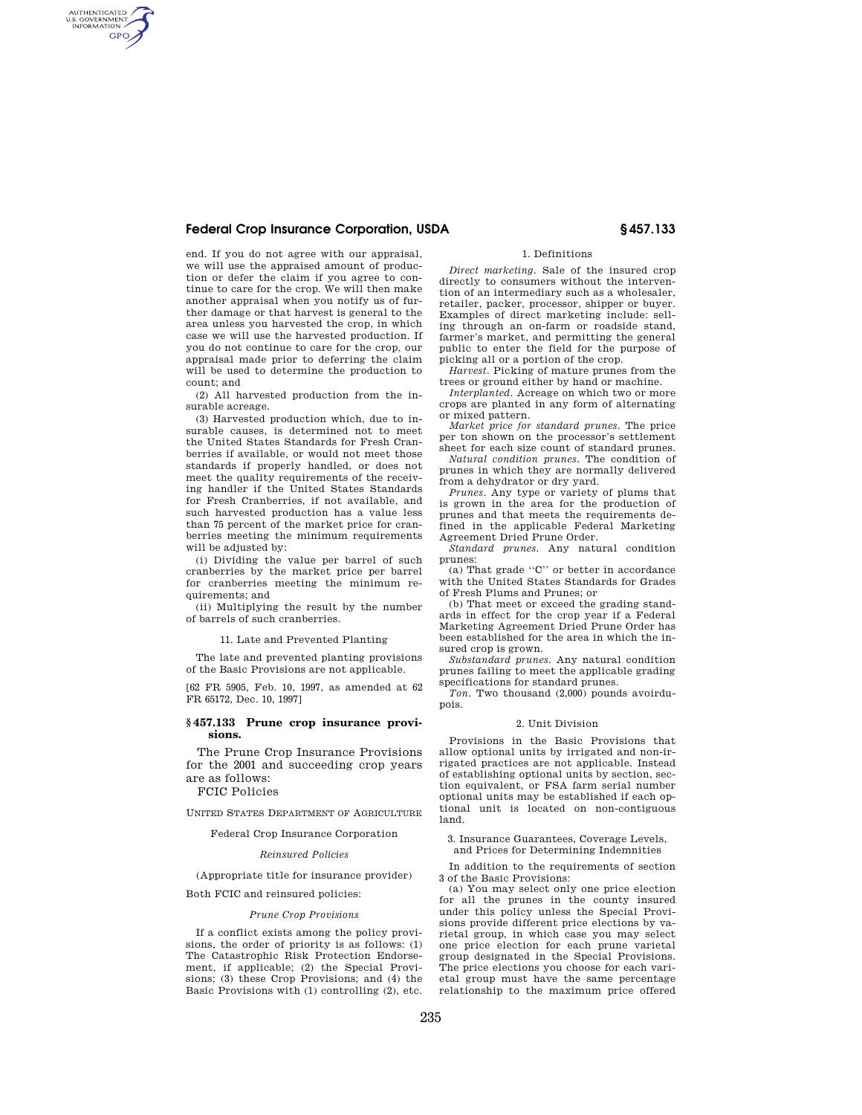## **Federal Crop Insurance Corporation, USDA § 457.133**

AUTHENTICATED<br>U.S. GOVERNMENT<br>INFORMATION **GPO** 

> end. If you do not agree with our appraisal, we will use the appraised amount of production or defer the claim if you agree to continue to care for the crop. We will then make another appraisal when you notify us of further damage or that harvest is general to the area unless you harvested the crop, in which case we will use the harvested production. If you do not continue to care for the crop, our appraisal made prior to deferring the claim will be used to determine the production to count; and

> (2) All harvested production from the insurable acreage.

> (3) Harvested production which, due to insurable causes, is determined not to meet the United States Standards for Fresh Cranberries if available, or would not meet those standards if properly handled, or does not meet the quality requirements of the receiving handler if the United States Standards for Fresh Cranberries, if not available, and such harvested production has a value less than 75 percent of the market price for cranberries meeting the minimum requirements will be adjusted by:

> (i) Dividing the value per barrel of such cranberries by the market price per barrel for cranberries meeting the minimum requirements; and

> (ii) Multiplying the result by the number of barrels of such cranberries.

> > 11. Late and Prevented Planting

The late and prevented planting provisions of the Basic Provisions are not applicable.

[62 FR 5905, Feb. 10, 1997, as amended at 62 FR 65172, Dec. 10, 1997]

#### **§ 457.133 Prune crop insurance provisions.**

The Prune Crop Insurance Provisions for the 2001 and succeeding crop years are as follows:

FCIC Policies

UNITED STATES DEPARTMENT OF AGRICULTURE

# Federal Crop Insurance Corporation

## *Reinsured Policies*

(Appropriate title for insurance provider)

Both FCIC and reinsured policies:

#### *Prune Crop Provisions*

If a conflict exists among the policy provisions, the order of priority is as follows: (1) The Catastrophic Risk Protection Endorsement, if applicable; (2) the Special Provisions; (3) these Crop Provisions; and (4) the Basic Provisions with (1) controlling (2), etc.

### 1. Definitions

*Direct marketing.* Sale of the insured crop directly to consumers without the intervention of an intermediary such as a wholesaler, retailer, packer, processor, shipper or buyer. Examples of direct marketing include: selling through an on-farm or roadside stand, farmer's market, and permitting the general public to enter the field for the purpose of picking all or a portion of the crop.

*Harvest.* Picking of mature prunes from the trees or ground either by hand or machine.

*Interplanted.* Acreage on which two or more crops are planted in any form of alternating or mixed pattern.

*Market price for standard prunes.* The price per ton shown on the processor's settlement sheet for each size count of standard prunes.

*Natural condition prunes.* The condition of prunes in which they are normally delivered from a dehydrator or dry yard.

*Prunes.* Any type or variety of plums that is grown in the area for the production of prunes and that meets the requirements defined in the applicable Federal Marketing Agreement Dried Prune Order.

*Standard prunes.* Any natural condition prunes:

(a) That grade ''C'' or better in accordance with the United States Standards for Grades of Fresh Plums and Prunes; or

(b) That meet or exceed the grading standards in effect for the crop year if a Federal Marketing Agreement Dried Prune Order has been established for the area in which the insured crop is grown.

*Substandard prunes.* Any natural condition prunes failing to meet the applicable grading specifications for standard prunes.

*Ton.* Two thousand (2,000) pounds avoirdupois.

#### 2. Unit Division

Provisions in the Basic Provisions that allow optional units by irrigated and non-irrigated practices are not applicable. Instead of establishing optional units by section, section equivalent, or FSA farm serial number optional units may be established if each optional unit is located on non-contiguous land.

3. Insurance Guarantees, Coverage Levels, and Prices for Determining Indemnities

In addition to the requirements of section 3 of the Basic Provisions:

(a) You may select only one price election for all the prunes in the county insured under this policy unless the Special Provisions provide different price elections by varietal group, in which case you may select one price election for each prune varietal group designated in the Special Provisions. The price elections you choose for each varietal group must have the same percentage relationship to the maximum price offered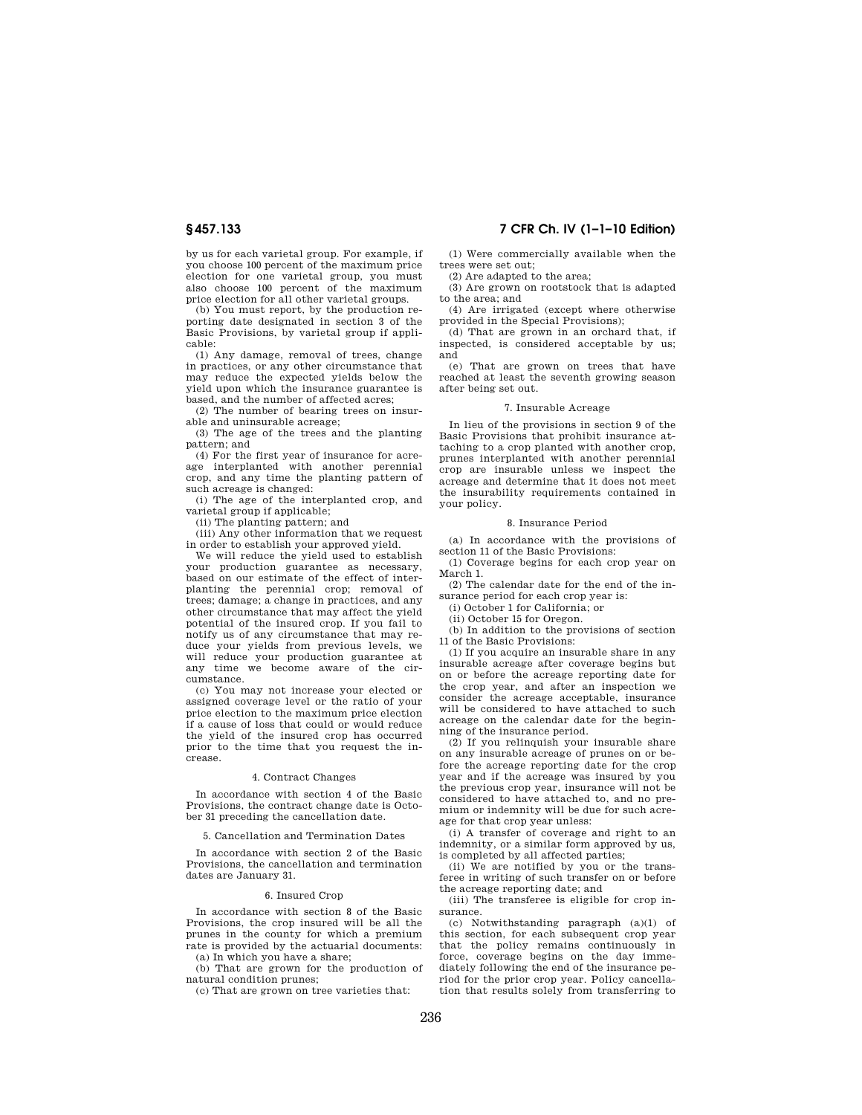by us for each varietal group. For example, if you choose 100 percent of the maximum price election for one varietal group, you must also choose 100 percent of the maximum price election for all other varietal groups.

(b) You must report, by the production reporting date designated in section 3 of the Basic Provisions, by varietal group if applicable:

(1) Any damage, removal of trees, change in practices, or any other circumstance that may reduce the expected yields below the yield upon which the insurance guarantee is based, and the number of affected acres;

(2) The number of bearing trees on insurable and uninsurable acreage;

(3) The age of the trees and the planting pattern; and

(4) For the first year of insurance for acreage interplanted with another perennial crop, and any time the planting pattern of such acreage is changed:

(i) The age of the interplanted crop, and varietal group if applicable;

(ii) The planting pattern; and

(iii) Any other information that we request in order to establish your approved yield.

We will reduce the yield used to establish your production guarantee as necessary, based on our estimate of the effect of interplanting the perennial crop; removal of trees; damage; a change in practices, and any other circumstance that may affect the yield potential of the insured crop. If you fail to notify us of any circumstance that may reduce your yields from previous levels, we will reduce your production guarantee at any time we become aware of the circumstance.

(c) You may not increase your elected or assigned coverage level or the ratio of your price election to the maximum price election if a cause of loss that could or would reduce the yield of the insured crop has occurred prior to the time that you request the increase.

#### 4. Contract Changes

In accordance with section 4 of the Basic Provisions, the contract change date is October 31 preceding the cancellation date.

5. Cancellation and Termination Dates

In accordance with section 2 of the Basic Provisions, the cancellation and termination dates are January 31.

#### 6. Insured Crop

In accordance with section 8 of the Basic Provisions, the crop insured will be all the prunes in the county for which a premium rate is provided by the actuarial documents: (a) In which you have a share;

(b) That are grown for the production of natural condition prunes;

(c) That are grown on tree varieties that:

# **§ 457.133 7 CFR Ch. IV (1–1–10 Edition)**

(1) Were commercially available when the trees were set out;

(2) Are adapted to the area; (3) Are grown on rootstock that is adapted to the area; and

(4) Are irrigated (except where otherwise

provided in the Special Provisions); (d) That are grown in an orchard that, if

inspected, is considered acceptable by us; and

(e) That are grown on trees that have reached at least the seventh growing season after being set out.

## 7. Insurable Acreage

In lieu of the provisions in section 9 of the Basic Provisions that prohibit insurance attaching to a crop planted with another crop, prunes interplanted with another perennial crop are insurable unless we inspect the acreage and determine that it does not meet the insurability requirements contained in your policy.

#### 8. Insurance Period

(a) In accordance with the provisions of section 11 of the Basic Provisions:

(1) Coverage begins for each crop year on March 1.

(2) The calendar date for the end of the insurance period for each crop year is:

(i) October 1 for California; or

(ii) October 15 for Oregon.

(b) In addition to the provisions of section 11 of the Basic Provisions:

(1) If you acquire an insurable share in any insurable acreage after coverage begins but on or before the acreage reporting date for the crop year, and after an inspection we consider the acreage acceptable, insurance will be considered to have attached to such acreage on the calendar date for the beginning of the insurance period.

(2) If you relinquish your insurable share on any insurable acreage of prunes on or before the acreage reporting date for the crop year and if the acreage was insured by you the previous crop year, insurance will not be considered to have attached to, and no premium or indemnity will be due for such acreage for that crop year unless:

(i) A transfer of coverage and right to an indemnity, or a similar form approved by us, is completed by all affected parties;

(ii) We are notified by you or the transferee in writing of such transfer on or before the acreage reporting date; and

(iii) The transferee is eligible for crop insurance.

(c) Notwithstanding paragraph (a)(1) of this section, for each subsequent crop year that the policy remains continuously in force, coverage begins on the day immediately following the end of the insurance period for the prior crop year. Policy cancellation that results solely from transferring to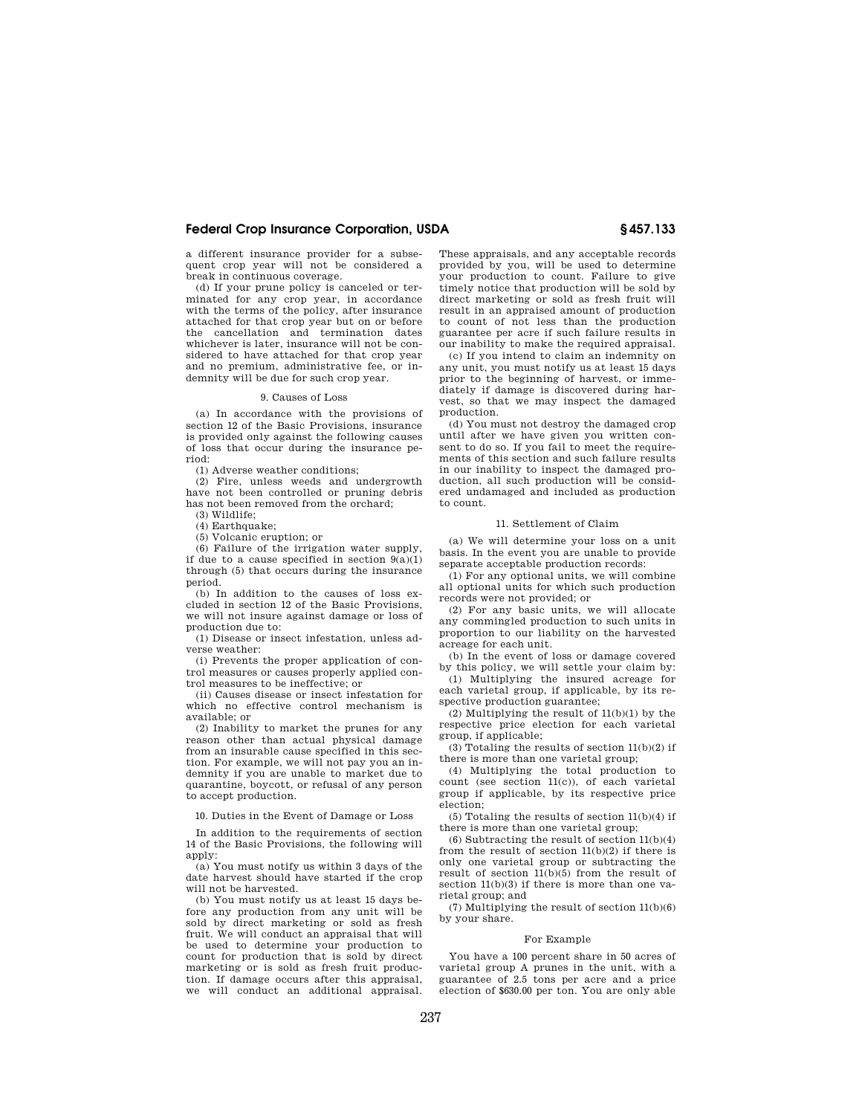## **Federal Crop Insurance Corporation, USDA § 457.133**

a different insurance provider for a subsequent crop year will not be considered a break in continuous coverage.

(d) If your prune policy is canceled or terminated for any crop year, in accordance with the terms of the policy, after insurance attached for that crop year but on or before the cancellation and termination dates whichever is later, insurance will not be considered to have attached for that crop year and no premium, administrative fee, or indemnity will be due for such crop year.

#### 9. Causes of Loss

(a) In accordance with the provisions of section 12 of the Basic Provisions, insurance is provided only against the following causes of loss that occur during the insurance period:

(1) Adverse weather conditions;

(2) Fire, unless weeds and undergrowth have not been controlled or pruning debris has not been removed from the orchard;

(3) Wildlife;

(4) Earthquake; (5) Volcanic eruption; or

(6) Failure of the irrigation water supply, if due to a cause specified in section  $9(a)(1)$ through (5) that occurs during the insurance period.

(b) In addition to the causes of loss excluded in section 12 of the Basic Provisions, we will not insure against damage or loss of production due to:

(1) Disease or insect infestation, unless adverse weather:

(i) Prevents the proper application of control measures or causes properly applied control measures to be ineffective; or

(ii) Causes disease or insect infestation for which no effective control mechanism is available; or

(2) Inability to market the prunes for any reason other than actual physical damage from an insurable cause specified in this section. For example, we will not pay you an indemnity if you are unable to market due to quarantine, boycott, or refusal of any person to accept production.

10. Duties in the Event of Damage or Loss

In addition to the requirements of section 14 of the Basic Provisions, the following will apply:

(a) You must notify us within 3 days of the date harvest should have started if the crop will not be harvested.

(b) You must notify us at least 15 days before any production from any unit will be sold by direct marketing or sold as fresh fruit. We will conduct an appraisal that will be used to determine your production to count for production that is sold by direct marketing or is sold as fresh fruit production. If damage occurs after this appraisal, we will conduct an additional appraisal. These appraisals, and any acceptable records provided by you, will be used to determine your production to count. Failure to give timely notice that production will be sold by direct marketing or sold as fresh fruit will result in an appraised amount of production to count of not less than the production guarantee per acre if such failure results in our inability to make the required appraisal.

(c) If you intend to claim an indemnity on any unit, you must notify us at least 15 days prior to the beginning of harvest, or immediately if damage is discovered during harvest, so that we may inspect the damaged production.

(d) You must not destroy the damaged crop until after we have given you written consent to do so. If you fail to meet the requirements of this section and such failure results in our inability to inspect the damaged production, all such production will be considered undamaged and included as production to count.

#### 11. Settlement of Claim

(a) We will determine your loss on a unit basis. In the event you are unable to provide separate acceptable production records:

(1) For any optional units, we will combine all optional units for which such production records were not provided; or

(2) For any basic units, we will allocate any commingled production to such units in proportion to our liability on the harvested acreage for each unit.

(b) In the event of loss or damage covered by this policy, we will settle your claim by:

(1) Multiplying the insured acreage for each varietal group, if applicable, by its respective production guarantee;

(2) Multiplying the result of 11(b)(1) by the respective price election for each varietal group, if applicable;

(3) Totaling the results of section 11(b)(2) if there is more than one varietal group;

(4) Multiplying the total production to count (see section 11(c)), of each varietal group if applicable, by its respective price election;

(5) Totaling the results of section 11(b)(4) if there is more than one varietal group;

 $(6)$  Subtracting the result of section  $11(b)(4)$ from the result of section 11(b)(2) if there is only one varietal group or subtracting the result of section  $11(b)(5)$  from the result of section 11(b)(3) if there is more than one varietal group; and

(7) Multiplying the result of section 11(b)(6) by your share.

#### For Example

You have a 100 percent share in 50 acres of varietal group A prunes in the unit, with a guarantee of 2.5 tons per acre and a price election of \$630.00 per ton. You are only able